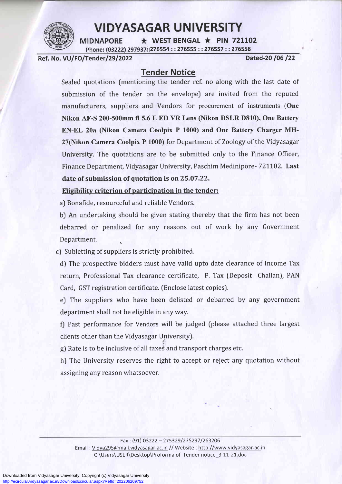

### **VIDYASAGAR UNIVERSITY**

 $\star$  WEST BENGAL  $\star$  PIN 721102 **MIDNAPORE** Phone: (03222) 297937::276554 :: 276555 :: 276557 :: 276558

Ref. No. VU/FO/Tender/29/2022 Dated-20 /06 /22

### Tender Notice

Sealed quotations fmentioning the tender ref. no along with the last date of submission of the tender on the envelope) are invited from the reputed manufacturers, suppliers and Vendors for procurement of instruments (One Nikon AF-S 200-500mm fi 5.6 E ED VR Lens (Nikon DSLR D8L0), One Battery EN-EL 20a (Nikon Camera Coolpix P 1000) and One Battery Charger MH-27(Nikon Camera Coolpix P 1000) for Department of Zoology of the Vidyasagar University. The quotations are to be submitted only to the Finance Officer, Finance Department, Vidyasagar University, Paschim Medinipore- 721102. Last date of submission of quotation is on25.O7.22.

## Eligibility criterion of participation in the tender:

a) Bonafide, resourceful and reliable Vendors.

b) An undertaking should be given stating thereby that the firm has not been debarred or penalized for any reasons out of work by any Government Department.

c) Subletting of suppliers is strictly prohibited.

d) The prospective bidders must have valid upto date clearance of Income Tax return, Professional Tax clearance certificate, P. Tax (Deposit Challan), PAN Card, GST registration certificate. (Enclose latest copiesJ.

e) The suppliers who have been delisted or debarred by any government department shall not be eligible in any way.

f) Past performance for Vendors will be judged (please attached three largest clients other than the Vidyasagar University).

g) Rate is to be inclusive of all taxes and transport charges etc.

h) The University reserves the right to accept or reject any quotation without assigning any reason whatsoever.